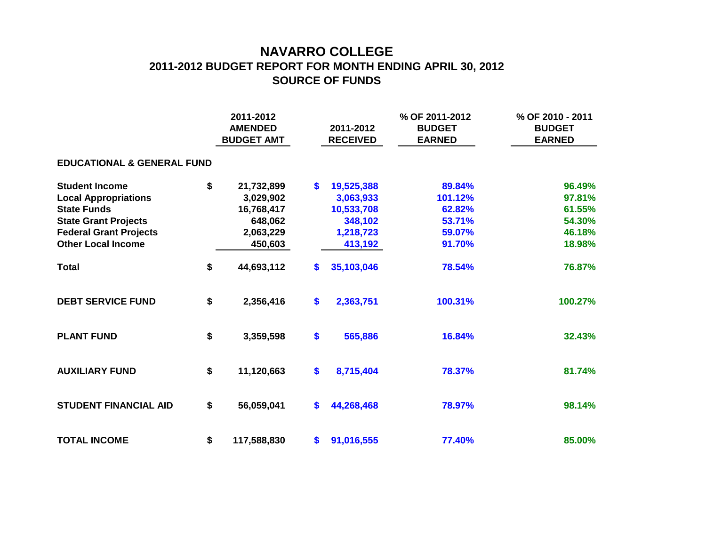## **NAVARRO COLLEGE 2011-2012 BUDGET REPORT FOR MONTH ENDING APRIL 30, 2012 SOURCE OF FUNDS**

|                                       | 2011-2012<br><b>AMENDED</b><br><b>BUDGET AMT</b> |             |    | 2011-2012<br><b>RECEIVED</b> | % OF 2011-2012<br><b>BUDGET</b><br><b>EARNED</b> | % OF 2010 - 2011<br><b>BUDGET</b><br><b>EARNED</b> |  |  |  |  |  |  |  |
|---------------------------------------|--------------------------------------------------|-------------|----|------------------------------|--------------------------------------------------|----------------------------------------------------|--|--|--|--|--|--|--|
| <b>EDUCATIONAL &amp; GENERAL FUND</b> |                                                  |             |    |                              |                                                  |                                                    |  |  |  |  |  |  |  |
| <b>Student Income</b>                 | \$                                               | 21,732,899  | \$ | 19,525,388                   | 89.84%                                           | 96.49%                                             |  |  |  |  |  |  |  |
| <b>Local Appropriations</b>           |                                                  | 3,029,902   |    | 3,063,933                    | 101.12%                                          | 97.81%                                             |  |  |  |  |  |  |  |
| <b>State Funds</b>                    |                                                  | 16,768,417  |    | 10,533,708                   | 62.82%                                           | 61.55%                                             |  |  |  |  |  |  |  |
| <b>State Grant Projects</b>           |                                                  | 648,062     |    | 348,102                      | 53.71%                                           | 54.30%                                             |  |  |  |  |  |  |  |
| <b>Federal Grant Projects</b>         |                                                  | 2,063,229   |    | 1,218,723                    | 59.07%                                           | 46.18%                                             |  |  |  |  |  |  |  |
| <b>Other Local Income</b>             |                                                  | 450,603     |    | 413,192                      | 91.70%                                           | 18.98%                                             |  |  |  |  |  |  |  |
| <b>Total</b>                          | \$                                               | 44,693,112  | \$ | 35,103,046                   | 78.54%                                           | 76.87%                                             |  |  |  |  |  |  |  |
| <b>DEBT SERVICE FUND</b>              | \$                                               | 2,356,416   | \$ | 2,363,751                    | 100.31%                                          | 100.27%                                            |  |  |  |  |  |  |  |
| <b>PLANT FUND</b>                     | \$                                               | 3,359,598   | \$ | 565,886                      | 16.84%                                           | 32.43%                                             |  |  |  |  |  |  |  |
| <b>AUXILIARY FUND</b>                 | \$                                               | 11,120,663  | \$ | 8,715,404                    | 78.37%                                           | 81.74%                                             |  |  |  |  |  |  |  |
| <b>STUDENT FINANCIAL AID</b>          | \$                                               | 56,059,041  | \$ | 44,268,468                   | 78.97%                                           | 98.14%                                             |  |  |  |  |  |  |  |
| <b>TOTAL INCOME</b>                   | \$                                               | 117,588,830 | \$ | 91,016,555                   | 77.40%                                           | 85.00%                                             |  |  |  |  |  |  |  |